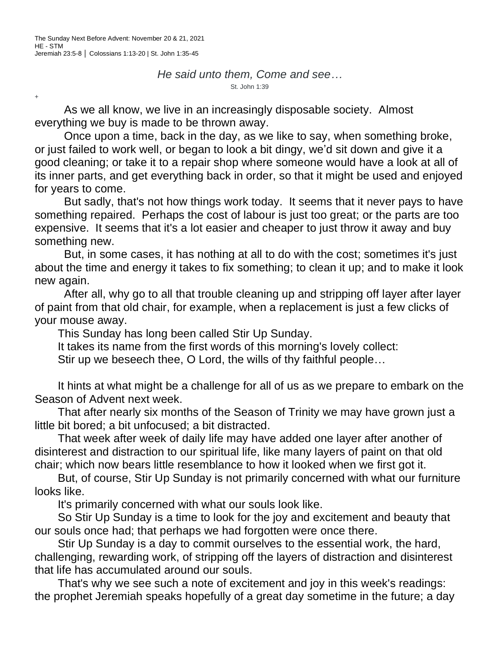+

*He said unto them, Come and see…* St. John 1:39

As we all know, we live in an increasingly disposable society. Almost everything we buy is made to be thrown away.

Once upon a time, back in the day, as we like to say, when something broke, or just failed to work well, or began to look a bit dingy, we'd sit down and give it a good cleaning; or take it to a repair shop where someone would have a look at all of its inner parts, and get everything back in order, so that it might be used and enjoyed for years to come.

But sadly, that's not how things work today. It seems that it never pays to have something repaired. Perhaps the cost of labour is just too great; or the parts are too expensive. It seems that it's a lot easier and cheaper to just throw it away and buy something new.

But, in some cases, it has nothing at all to do with the cost; sometimes it's just about the time and energy it takes to fix something; to clean it up; and to make it look new again.

After all, why go to all that trouble cleaning up and stripping off layer after layer of paint from that old chair, for example, when a replacement is just a few clicks of your mouse away.

This Sunday has long been called Stir Up Sunday.

It takes its name from the first words of this morning's lovely collect:

Stir up we beseech thee, O Lord, the wills of thy faithful people…

It hints at what might be a challenge for all of us as we prepare to embark on the Season of Advent next week.

That after nearly six months of the Season of Trinity we may have grown just a little bit bored; a bit unfocused; a bit distracted.

That week after week of daily life may have added one layer after another of disinterest and distraction to our spiritual life, like many layers of paint on that old chair; which now bears little resemblance to how it looked when we first got it.

But, of course, Stir Up Sunday is not primarily concerned with what our furniture looks like.

It's primarily concerned with what our souls look like.

So Stir Up Sunday is a time to look for the joy and excitement and beauty that our souls once had; that perhaps we had forgotten were once there.

Stir Up Sunday is a day to commit ourselves to the essential work, the hard, challenging, rewarding work, of stripping off the layers of distraction and disinterest that life has accumulated around our souls.

That's why we see such a note of excitement and joy in this week's readings: the prophet Jeremiah speaks hopefully of a great day sometime in the future; a day